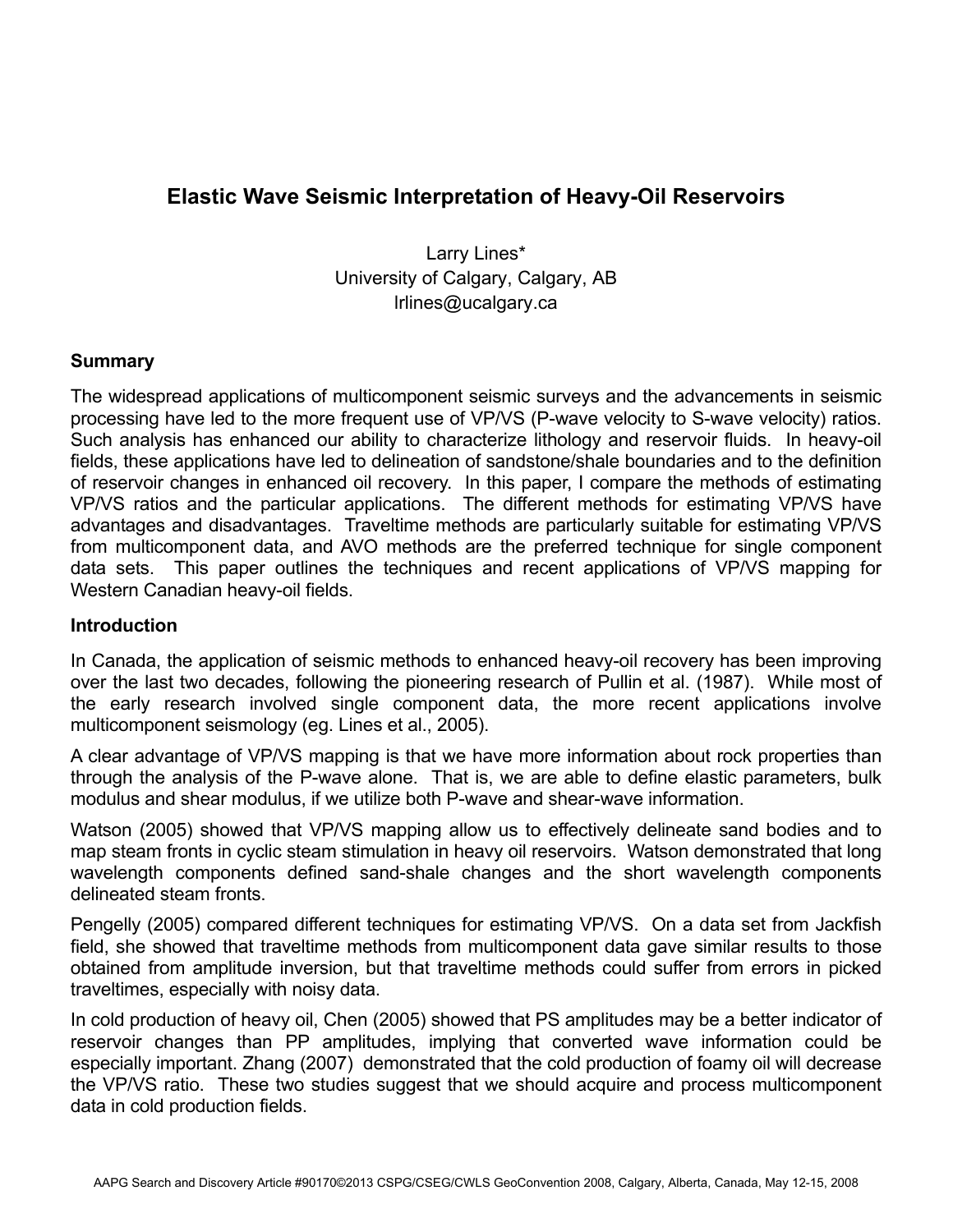# **Elastic Wave Seismic Interpretation of Heavy-Oil Reservoirs**

Larry Lines\* University of Calgary, Calgary, AB lrlines@ucalgary.ca

# **Summary**

The widespread applications of multicomponent seismic surveys and the advancements in seismic processing have led to the more frequent use of VP/VS (P-wave velocity to S-wave velocity) ratios. Such analysis has enhanced our ability to characterize lithology and reservoir fluids. In heavy-oil fields, these applications have led to delineation of sandstone/shale boundaries and to the definition of reservoir changes in enhanced oil recovery. In this paper, I compare the methods of estimating VP/VS ratios and the particular applications. The different methods for estimating VP/VS have advantages and disadvantages. Traveltime methods are particularly suitable for estimating VP/VS from multicomponent data, and AVO methods are the preferred technique for single component data sets. This paper outlines the techniques and recent applications of VP/VS mapping for Western Canadian heavy-oil fields.

### **Introduction**

In Canada, the application of seismic methods to enhanced heavy-oil recovery has been improving over the last two decades, following the pioneering research of Pullin et al. (1987). While most of the early research involved single component data, the more recent applications involve multicomponent seismology (eg. Lines et al., 2005).

A clear advantage of VP/VS mapping is that we have more information about rock properties than through the analysis of the P-wave alone. That is, we are able to define elastic parameters, bulk modulus and shear modulus, if we utilize both P-wave and shear-wave information.

Watson (2005) showed that VP/VS mapping allow us to effectively delineate sand bodies and to map steam fronts in cyclic steam stimulation in heavy oil reservoirs. Watson demonstrated that long wavelength components defined sand-shale changes and the short wavelength components delineated steam fronts.

Pengelly (2005) compared different techniques for estimating VP/VS. On a data set from Jackfish field, she showed that traveltime methods from multicomponent data gave similar results to those obtained from amplitude inversion, but that traveltime methods could suffer from errors in picked traveltimes, especially with noisy data.

In cold production of heavy oil, Chen (2005) showed that PS amplitudes may be a better indicator of reservoir changes than PP amplitudes, implying that converted wave information could be especially important. Zhang (2007) demonstrated that the cold production of foamy oil will decrease the VP/VS ratio. These two studies suggest that we should acquire and process multicomponent data in cold production fields.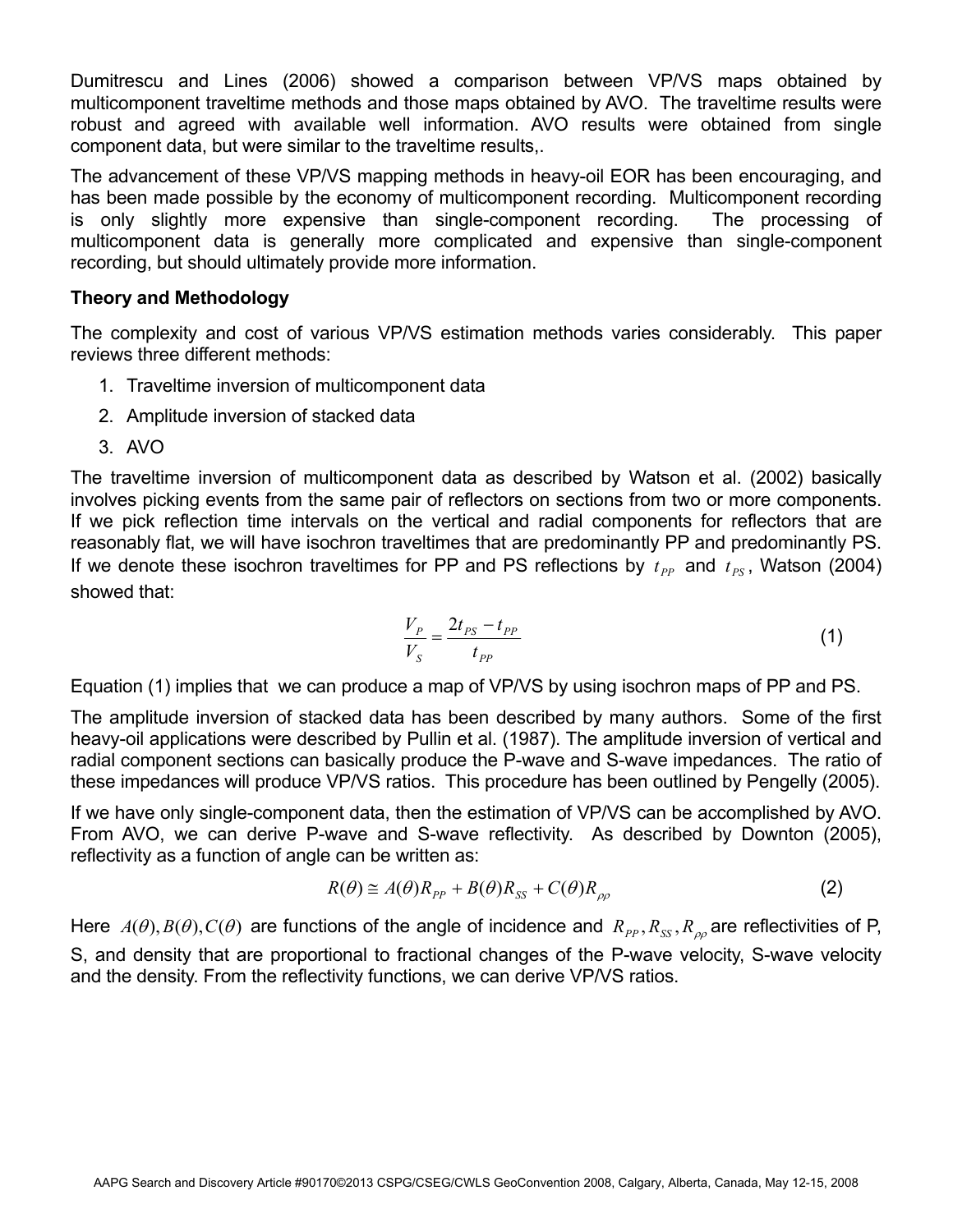Dumitrescu and Lines (2006) showed a comparison between VP/VS maps obtained by multicomponent traveltime methods and those maps obtained by AVO. The traveltime results were robust and agreed with available well information. AVO results were obtained from single component data, but were similar to the traveltime results,.

The advancement of these VP/VS mapping methods in heavy-oil EOR has been encouraging, and has been made possible by the economy of multicomponent recording. Multicomponent recording is only slightly more expensive than single-component recording. The processing of multicomponent data is generally more complicated and expensive than single-component recording, but should ultimately provide more information.

# **Theory and Methodology**

The complexity and cost of various VP/VS estimation methods varies considerably. This paper reviews three different methods:

- 1. Traveltime inversion of multicomponent data
- 2. Amplitude inversion of stacked data
- 3. AVO

The traveltime inversion of multicomponent data as described by Watson et al. (2002) basically involves picking events from the same pair of reflectors on sections from two or more components. If we pick reflection time intervals on the vertical and radial components for reflectors that are reasonably flat, we will have isochron traveltimes that are predominantly PP and predominantly PS. If we denote these isochron traveltimes for PP and PS reflections by  $t_{pp}$  and  $t_{PS}$ , Watson (2004) showed that:

$$
\frac{V_P}{V_S} = \frac{2t_{PS} - t_{PP}}{t_{PP}}
$$
 (1)

Equation (1) implies that we can produce a map of VP/VS by using isochron maps of PP and PS.

The amplitude inversion of stacked data has been described by many authors. Some of the first heavy-oil applications were described by Pullin et al. (1987). The amplitude inversion of vertical and radial component sections can basically produce the P-wave and S-wave impedances. The ratio of these impedances will produce VP/VS ratios. This procedure has been outlined by Pengelly (2005).

If we have only single-component data, then the estimation of VP/VS can be accomplished by AVO. From AVO, we can derive P-wave and S-wave reflectivity. As described by Downton (2005), reflectivity as a function of angle can be written as:

$$
R(\theta) \cong A(\theta)R_{PP} + B(\theta)R_{SS} + C(\theta)R_{\rho\rho}
$$
\n(2)

Here  $A(\theta),B(\theta),C(\theta)$  are functions of the angle of incidence and  $R_{PP},R_{SS},R_{\rho\rho}$  are reflectivities of P, S, and density that are proportional to fractional changes of the P-wave velocity, S-wave velocity and the density. From the reflectivity functions, we can derive VP/VS ratios.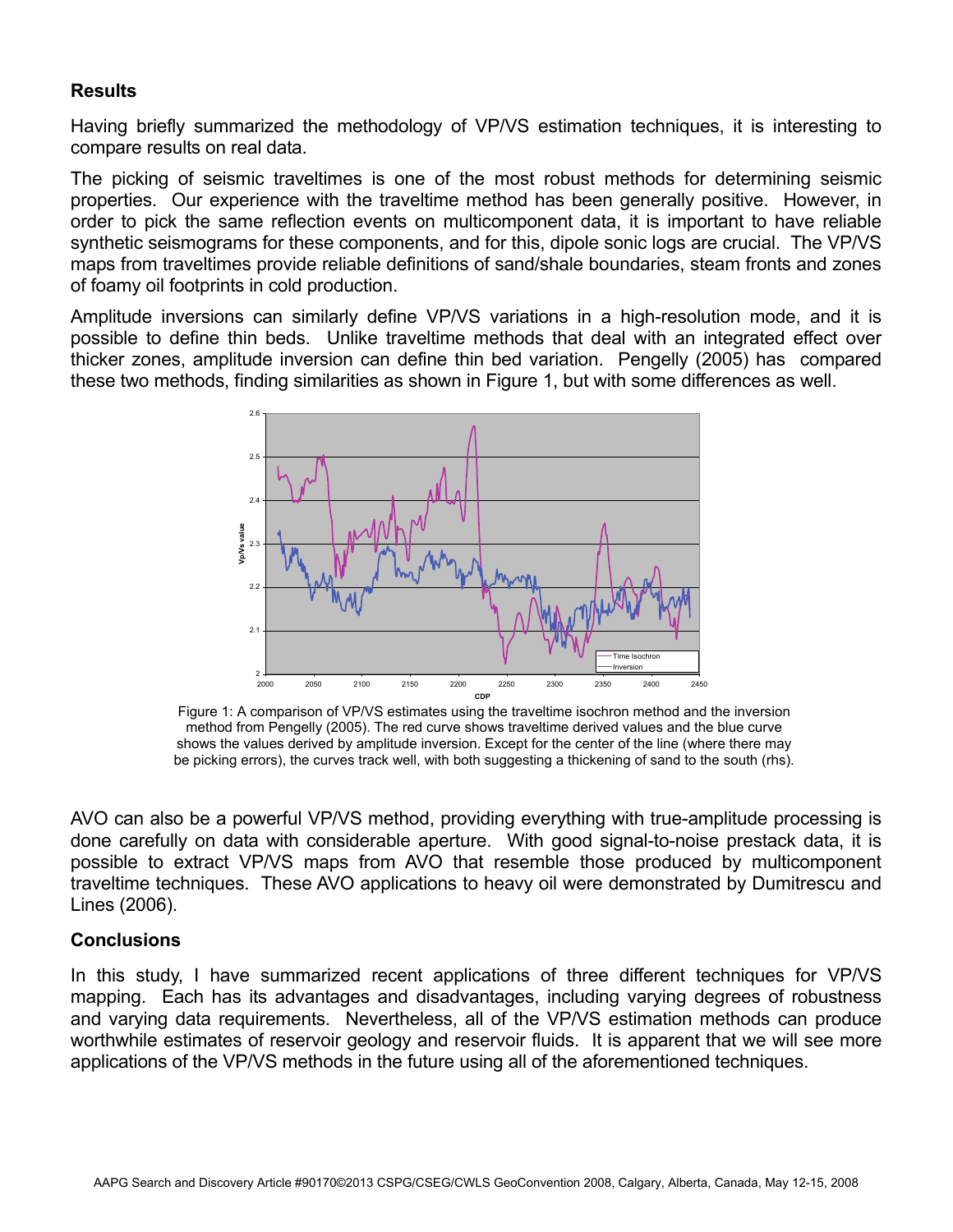# **Results**

Having briefly summarized the methodology of VP/VS estimation techniques, it is interesting to compare results on real data.

The picking of seismic traveltimes is one of the most robust methods for determining seismic properties. Our experience with the traveltime method has been generally positive. However, in order to pick the same reflection events on multicomponent data, it is important to have reliable synthetic seismograms for these components, and for this, dipole sonic logs are crucial. The VP/VS maps from traveltimes provide reliable definitions of sand/shale boundaries, steam fronts and zones of foamy oil footprints in cold production.

Amplitude inversions can similarly define VP/VS variations in a high-resolution mode, and it is possible to define thin beds. Unlike traveltime methods that deal with an integrated effect over thicker zones, amplitude inversion can define thin bed variation. Pengelly (2005) has compared these two methods, finding similarities as shown in Figure 1, but with some differences as well.



Figure 1: A comparison of VP/VS estimates using the traveltime isochron method and the inversion method from Pengelly (2005). The red curve shows traveltime derived values and the blue curve shows the values derived by amplitude inversion. Except for the center of the line (where there may be picking errors), the curves track well, with both suggesting a thickening of sand to the south (rhs).

AVO can also be a powerful VP/VS method, providing everything with true-amplitude processing is done carefully on data with considerable aperture. With good signal-to-noise prestack data, it is possible to extract VP/VS maps from AVO that resemble those produced by multicomponent traveltime techniques. These AVO applications to heavy oil were demonstrated by Dumitrescu and Lines (2006).

### **Conclusions**

In this study, I have summarized recent applications of three different techniques for VP/VS mapping. Each has its advantages and disadvantages, including varying degrees of robustness and varying data requirements. Nevertheless, all of the VP/VS estimation methods can produce worthwhile estimates of reservoir geology and reservoir fluids. It is apparent that we will see more applications of the VP/VS methods in the future using all of the aforementioned techniques.